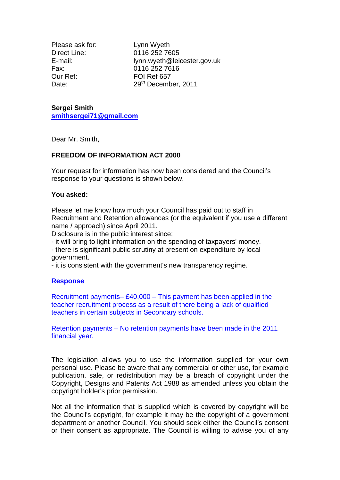Please ask for: Lynn Wyeth Our Ref: FOI Ref 657

Direct Line: 0116 252 7605 E-mail: lynn.wyeth@leicester.gov.uk Fax: 0116 252 7616 Date: 29<sup>th</sup> December, 2011

## **Sergei Smith [smithsergei71@gmail.com](mailto:smithsergei71@gmail.com)**

Dear Mr. Smith,

## **FREEDOM OF INFORMATION ACT 2000**

Your request for information has now been considered and the Council's response to your questions is shown below.

## **You asked:**

Please let me know how much your Council has paid out to staff in Recruitment and Retention allowances (or the equivalent if you use a different name / approach) since April 2011.

Disclosure is in the public interest since:

- it will bring to light information on the spending of taxpayers' money.

- there is significant public scrutiny at present on expenditure by local government.

- it is consistent with the government's new transparency regime.

## **Response**

Recruitment payments– £40,000 – This payment has been applied in the teacher recruitment process as a result of there being a lack of qualified teachers in certain subjects in Secondary schools.

Retention payments – No retention payments have been made in the 2011 financial year.

The legislation allows you to use the information supplied for your own personal use. Please be aware that any commercial or other use, for example publication, sale, or redistribution may be a breach of copyright under the Copyright, Designs and Patents Act 1988 as amended unless you obtain the copyright holder's prior permission.

Not all the information that is supplied which is covered by copyright will be the Council's copyright, for example it may be the copyright of a government department or another Council. You should seek either the Council's consent or their consent as appropriate. The Council is willing to advise you of any